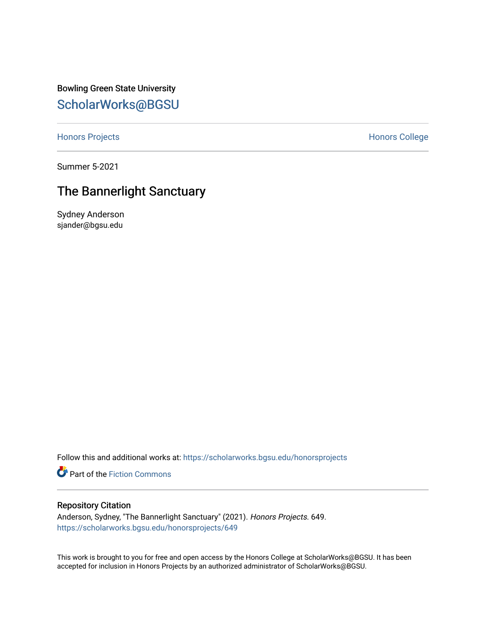Bowling Green State University [ScholarWorks@BGSU](https://scholarworks.bgsu.edu/) 

[Honors Projects](https://scholarworks.bgsu.edu/honorsprojects) **Honors** College

Summer 5-2021

# The Bannerlight Sanctuary

Sydney Anderson sjander@bgsu.edu

Follow this and additional works at: [https://scholarworks.bgsu.edu/honorsprojects](https://scholarworks.bgsu.edu/honorsprojects?utm_source=scholarworks.bgsu.edu%2Fhonorsprojects%2F649&utm_medium=PDF&utm_campaign=PDFCoverPages) 

Part of the [Fiction Commons](http://network.bepress.com/hgg/discipline/1151?utm_source=scholarworks.bgsu.edu%2Fhonorsprojects%2F649&utm_medium=PDF&utm_campaign=PDFCoverPages) 

# Repository Citation

Anderson, Sydney, "The Bannerlight Sanctuary" (2021). Honors Projects. 649. [https://scholarworks.bgsu.edu/honorsprojects/649](https://scholarworks.bgsu.edu/honorsprojects/649?utm_source=scholarworks.bgsu.edu%2Fhonorsprojects%2F649&utm_medium=PDF&utm_campaign=PDFCoverPages) 

This work is brought to you for free and open access by the Honors College at ScholarWorks@BGSU. It has been accepted for inclusion in Honors Projects by an authorized administrator of ScholarWorks@BGSU.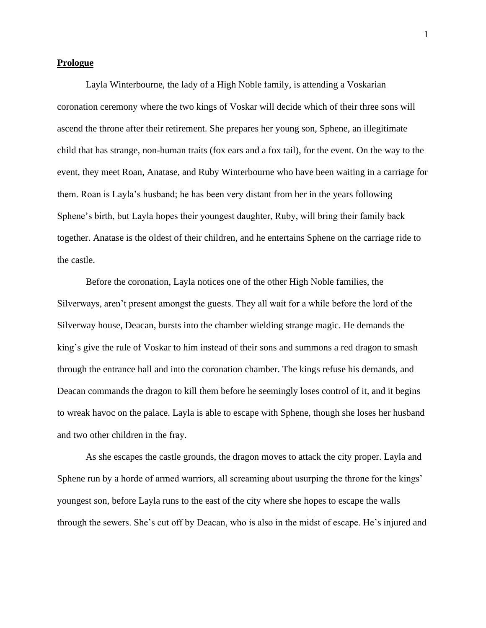#### **Prologue**

Layla Winterbourne, the lady of a High Noble family, is attending a Voskarian coronation ceremony where the two kings of Voskar will decide which of their three sons will ascend the throne after their retirement. She prepares her young son, Sphene, an illegitimate child that has strange, non-human traits (fox ears and a fox tail), for the event. On the way to the event, they meet Roan, Anatase, and Ruby Winterbourne who have been waiting in a carriage for them. Roan is Layla's husband; he has been very distant from her in the years following Sphene's birth, but Layla hopes their youngest daughter, Ruby, will bring their family back together. Anatase is the oldest of their children, and he entertains Sphene on the carriage ride to the castle.

Before the coronation, Layla notices one of the other High Noble families, the Silverways, aren't present amongst the guests. They all wait for a while before the lord of the Silverway house, Deacan, bursts into the chamber wielding strange magic. He demands the king's give the rule of Voskar to him instead of their sons and summons a red dragon to smash through the entrance hall and into the coronation chamber. The kings refuse his demands, and Deacan commands the dragon to kill them before he seemingly loses control of it, and it begins to wreak havoc on the palace. Layla is able to escape with Sphene, though she loses her husband and two other children in the fray.

As she escapes the castle grounds, the dragon moves to attack the city proper. Layla and Sphene run by a horde of armed warriors, all screaming about usurping the throne for the kings' youngest son, before Layla runs to the east of the city where she hopes to escape the walls through the sewers. She's cut off by Deacan, who is also in the midst of escape. He's injured and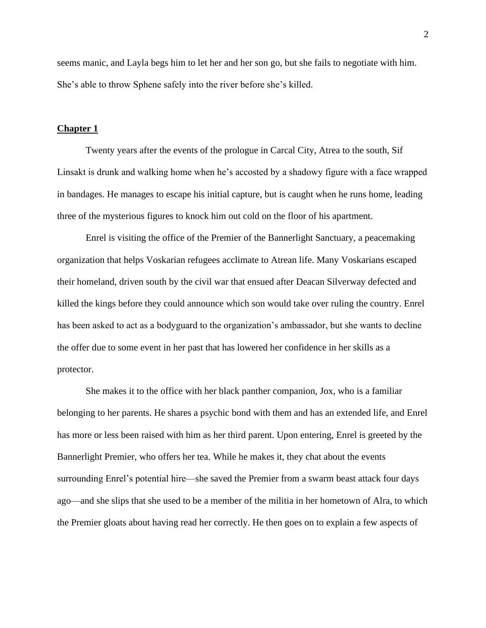seems manic, and Layla begs him to let her and her son go, but she fails to negotiate with him. She's able to throw Sphene safely into the river before she's killed.

#### **Chapter 1**

Twenty years after the events of the prologue in Carcal City, Atrea to the south, Sif Linsakt is drunk and walking home when he's accosted by a shadowy figure with a face wrapped in bandages. He manages to escape his initial capture, but is caught when he runs home, leading three of the mysterious figures to knock him out cold on the floor of his apartment.

Enrel is visiting the office of the Premier of the Bannerlight Sanctuary, a peacemaking organization that helps Voskarian refugees acclimate to Atrean life. Many Voskarians escaped their homeland, driven south by the civil war that ensued after Deacan Silverway defected and killed the kings before they could announce which son would take over ruling the country. Enrel has been asked to act as a bodyguard to the organization's ambassador, but she wants to decline the offer due to some event in her past that has lowered her confidence in her skills as a protector.

She makes it to the office with her black panther companion, Jox, who is a familiar belonging to her parents. He shares a psychic bond with them and has an extended life, and Enrel has more or less been raised with him as her third parent. Upon entering, Enrel is greeted by the Bannerlight Premier, who offers her tea. While he makes it, they chat about the events surrounding Enrel's potential hire—she saved the Premier from a swarm beast attack four days ago—and she slips that she used to be a member of the militia in her hometown of Alra, to which the Premier gloats about having read her correctly. He then goes on to explain a few aspects of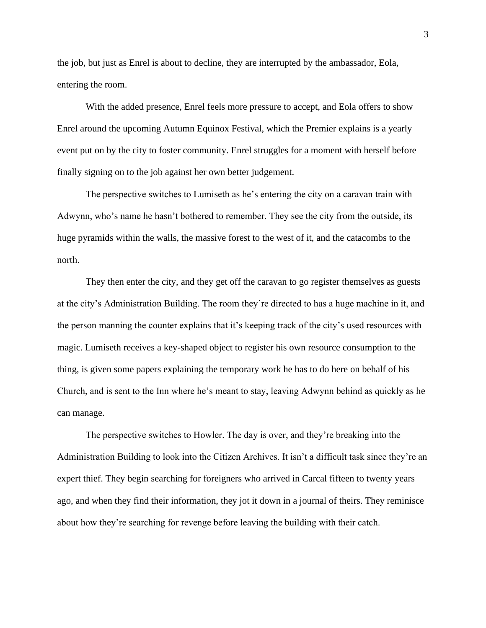the job, but just as Enrel is about to decline, they are interrupted by the ambassador, Eola, entering the room.

With the added presence, Enrel feels more pressure to accept, and Eola offers to show Enrel around the upcoming Autumn Equinox Festival, which the Premier explains is a yearly event put on by the city to foster community. Enrel struggles for a moment with herself before finally signing on to the job against her own better judgement.

The perspective switches to Lumiseth as he's entering the city on a caravan train with Adwynn, who's name he hasn't bothered to remember. They see the city from the outside, its huge pyramids within the walls, the massive forest to the west of it, and the catacombs to the north.

They then enter the city, and they get off the caravan to go register themselves as guests at the city's Administration Building. The room they're directed to has a huge machine in it, and the person manning the counter explains that it's keeping track of the city's used resources with magic. Lumiseth receives a key-shaped object to register his own resource consumption to the thing, is given some papers explaining the temporary work he has to do here on behalf of his Church, and is sent to the Inn where he's meant to stay, leaving Adwynn behind as quickly as he can manage.

The perspective switches to Howler. The day is over, and they're breaking into the Administration Building to look into the Citizen Archives. It isn't a difficult task since they're an expert thief. They begin searching for foreigners who arrived in Carcal fifteen to twenty years ago, and when they find their information, they jot it down in a journal of theirs. They reminisce about how they're searching for revenge before leaving the building with their catch.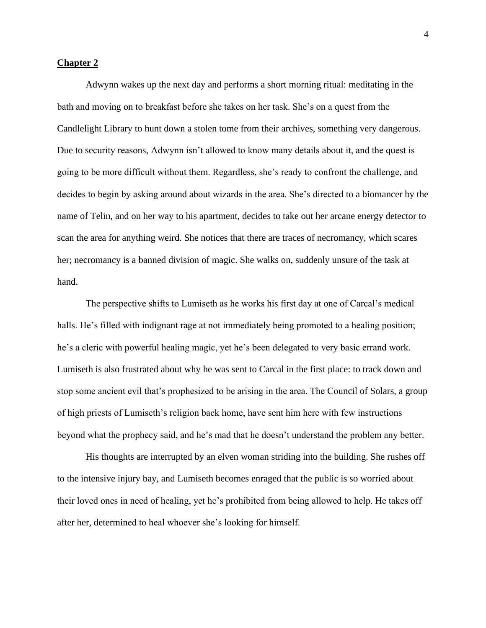## **Chapter 2**

Adwynn wakes up the next day and performs a short morning ritual: meditating in the bath and moving on to breakfast before she takes on her task. She's on a quest from the Candlelight Library to hunt down a stolen tome from their archives, something very dangerous. Due to security reasons, Adwynn isn't allowed to know many details about it, and the quest is going to be more difficult without them. Regardless, she's ready to confront the challenge, and decides to begin by asking around about wizards in the area. She's directed to a biomancer by the name of Telin, and on her way to his apartment, decides to take out her arcane energy detector to scan the area for anything weird. She notices that there are traces of necromancy, which scares her; necromancy is a banned division of magic. She walks on, suddenly unsure of the task at hand.

The perspective shifts to Lumiseth as he works his first day at one of Carcal's medical halls. He's filled with indignant rage at not immediately being promoted to a healing position; he's a cleric with powerful healing magic, yet he's been delegated to very basic errand work. Lumiseth is also frustrated about why he was sent to Carcal in the first place: to track down and stop some ancient evil that's prophesized to be arising in the area. The Council of Solars, a group of high priests of Lumiseth's religion back home, have sent him here with few instructions beyond what the prophecy said, and he's mad that he doesn't understand the problem any better.

His thoughts are interrupted by an elven woman striding into the building. She rushes off to the intensive injury bay, and Lumiseth becomes enraged that the public is so worried about their loved ones in need of healing, yet he's prohibited from being allowed to help. He takes off after her, determined to heal whoever she's looking for himself.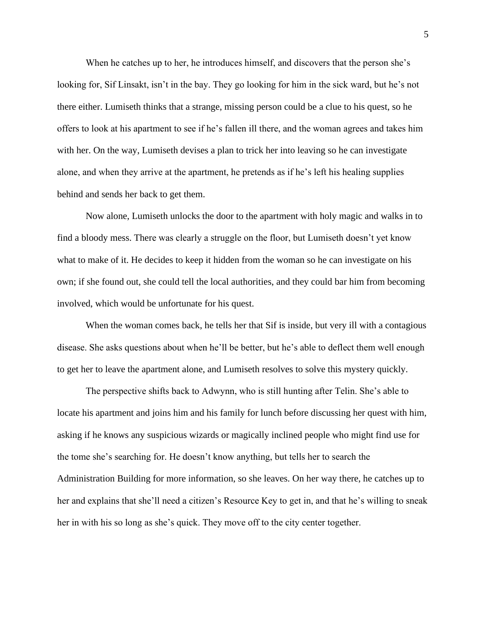When he catches up to her, he introduces himself, and discovers that the person she's looking for, Sif Linsakt, isn't in the bay. They go looking for him in the sick ward, but he's not there either. Lumiseth thinks that a strange, missing person could be a clue to his quest, so he offers to look at his apartment to see if he's fallen ill there, and the woman agrees and takes him with her. On the way, Lumiseth devises a plan to trick her into leaving so he can investigate alone, and when they arrive at the apartment, he pretends as if he's left his healing supplies behind and sends her back to get them.

Now alone, Lumiseth unlocks the door to the apartment with holy magic and walks in to find a bloody mess. There was clearly a struggle on the floor, but Lumiseth doesn't yet know what to make of it. He decides to keep it hidden from the woman so he can investigate on his own; if she found out, she could tell the local authorities, and they could bar him from becoming involved, which would be unfortunate for his quest.

When the woman comes back, he tells her that Sif is inside, but very ill with a contagious disease. She asks questions about when he'll be better, but he's able to deflect them well enough to get her to leave the apartment alone, and Lumiseth resolves to solve this mystery quickly.

The perspective shifts back to Adwynn, who is still hunting after Telin. She's able to locate his apartment and joins him and his family for lunch before discussing her quest with him, asking if he knows any suspicious wizards or magically inclined people who might find use for the tome she's searching for. He doesn't know anything, but tells her to search the Administration Building for more information, so she leaves. On her way there, he catches up to her and explains that she'll need a citizen's Resource Key to get in, and that he's willing to sneak her in with his so long as she's quick. They move off to the city center together.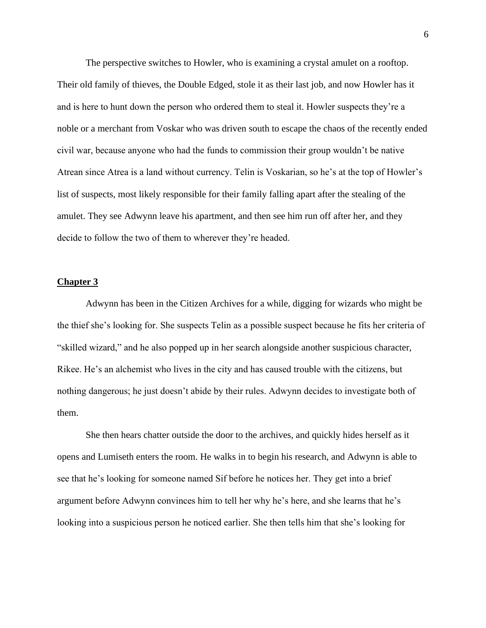The perspective switches to Howler, who is examining a crystal amulet on a rooftop. Their old family of thieves, the Double Edged, stole it as their last job, and now Howler has it and is here to hunt down the person who ordered them to steal it. Howler suspects they're a noble or a merchant from Voskar who was driven south to escape the chaos of the recently ended civil war, because anyone who had the funds to commission their group wouldn't be native Atrean since Atrea is a land without currency. Telin is Voskarian, so he's at the top of Howler's list of suspects, most likely responsible for their family falling apart after the stealing of the amulet. They see Adwynn leave his apartment, and then see him run off after her, and they decide to follow the two of them to wherever they're headed.

#### **Chapter 3**

Adwynn has been in the Citizen Archives for a while, digging for wizards who might be the thief she's looking for. She suspects Telin as a possible suspect because he fits her criteria of "skilled wizard," and he also popped up in her search alongside another suspicious character, Rikee. He's an alchemist who lives in the city and has caused trouble with the citizens, but nothing dangerous; he just doesn't abide by their rules. Adwynn decides to investigate both of them.

She then hears chatter outside the door to the archives, and quickly hides herself as it opens and Lumiseth enters the room. He walks in to begin his research, and Adwynn is able to see that he's looking for someone named Sif before he notices her. They get into a brief argument before Adwynn convinces him to tell her why he's here, and she learns that he's looking into a suspicious person he noticed earlier. She then tells him that she's looking for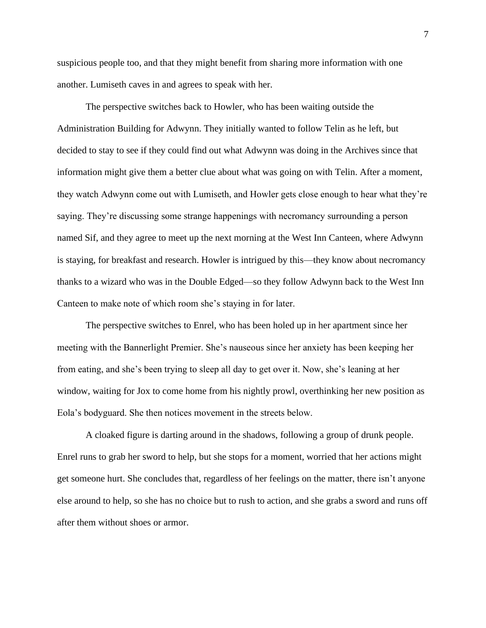suspicious people too, and that they might benefit from sharing more information with one another. Lumiseth caves in and agrees to speak with her.

The perspective switches back to Howler, who has been waiting outside the Administration Building for Adwynn. They initially wanted to follow Telin as he left, but decided to stay to see if they could find out what Adwynn was doing in the Archives since that information might give them a better clue about what was going on with Telin. After a moment, they watch Adwynn come out with Lumiseth, and Howler gets close enough to hear what they're saying. They're discussing some strange happenings with necromancy surrounding a person named Sif, and they agree to meet up the next morning at the West Inn Canteen, where Adwynn is staying, for breakfast and research. Howler is intrigued by this—they know about necromancy thanks to a wizard who was in the Double Edged—so they follow Adwynn back to the West Inn Canteen to make note of which room she's staying in for later.

The perspective switches to Enrel, who has been holed up in her apartment since her meeting with the Bannerlight Premier. She's nauseous since her anxiety has been keeping her from eating, and she's been trying to sleep all day to get over it. Now, she's leaning at her window, waiting for Jox to come home from his nightly prowl, overthinking her new position as Eola's bodyguard. She then notices movement in the streets below.

A cloaked figure is darting around in the shadows, following a group of drunk people. Enrel runs to grab her sword to help, but she stops for a moment, worried that her actions might get someone hurt. She concludes that, regardless of her feelings on the matter, there isn't anyone else around to help, so she has no choice but to rush to action, and she grabs a sword and runs off after them without shoes or armor.

7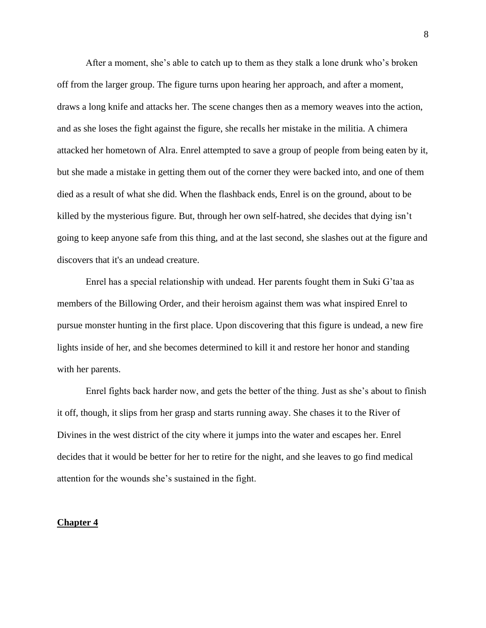After a moment, she's able to catch up to them as they stalk a lone drunk who's broken off from the larger group. The figure turns upon hearing her approach, and after a moment, draws a long knife and attacks her. The scene changes then as a memory weaves into the action, and as she loses the fight against the figure, she recalls her mistake in the militia. A chimera attacked her hometown of Alra. Enrel attempted to save a group of people from being eaten by it, but she made a mistake in getting them out of the corner they were backed into, and one of them died as a result of what she did. When the flashback ends, Enrel is on the ground, about to be killed by the mysterious figure. But, through her own self-hatred, she decides that dying isn't going to keep anyone safe from this thing, and at the last second, she slashes out at the figure and discovers that it's an undead creature.

Enrel has a special relationship with undead. Her parents fought them in Suki G'taa as members of the Billowing Order, and their heroism against them was what inspired Enrel to pursue monster hunting in the first place. Upon discovering that this figure is undead, a new fire lights inside of her, and she becomes determined to kill it and restore her honor and standing with her parents.

Enrel fights back harder now, and gets the better of the thing. Just as she's about to finish it off, though, it slips from her grasp and starts running away. She chases it to the River of Divines in the west district of the city where it jumps into the water and escapes her. Enrel decides that it would be better for her to retire for the night, and she leaves to go find medical attention for the wounds she's sustained in the fight.

## **Chapter 4**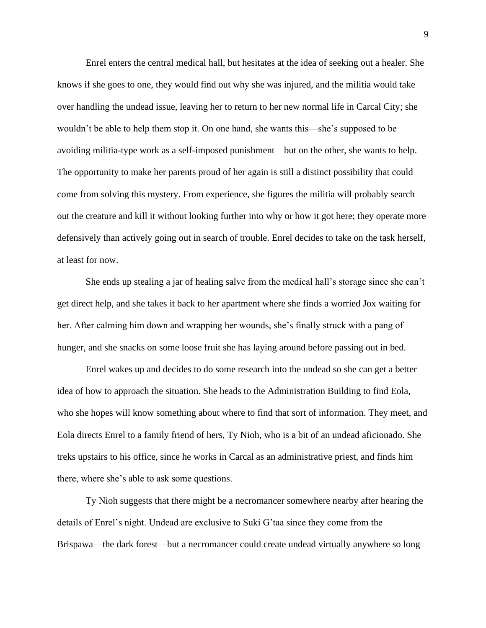Enrel enters the central medical hall, but hesitates at the idea of seeking out a healer. She knows if she goes to one, they would find out why she was injured, and the militia would take over handling the undead issue, leaving her to return to her new normal life in Carcal City; she wouldn't be able to help them stop it. On one hand, she wants this—she's supposed to be avoiding militia-type work as a self-imposed punishment—but on the other, she wants to help. The opportunity to make her parents proud of her again is still a distinct possibility that could come from solving this mystery. From experience, she figures the militia will probably search out the creature and kill it without looking further into why or how it got here; they operate more defensively than actively going out in search of trouble. Enrel decides to take on the task herself, at least for now.

She ends up stealing a jar of healing salve from the medical hall's storage since she can't get direct help, and she takes it back to her apartment where she finds a worried Jox waiting for her. After calming him down and wrapping her wounds, she's finally struck with a pang of hunger, and she snacks on some loose fruit she has laying around before passing out in bed.

Enrel wakes up and decides to do some research into the undead so she can get a better idea of how to approach the situation. She heads to the Administration Building to find Eola, who she hopes will know something about where to find that sort of information. They meet, and Eola directs Enrel to a family friend of hers, Ty Nioh, who is a bit of an undead aficionado. She treks upstairs to his office, since he works in Carcal as an administrative priest, and finds him there, where she's able to ask some questions.

Ty Nioh suggests that there might be a necromancer somewhere nearby after hearing the details of Enrel's night. Undead are exclusive to Suki G'taa since they come from the Brispawa—the dark forest—but a necromancer could create undead virtually anywhere so long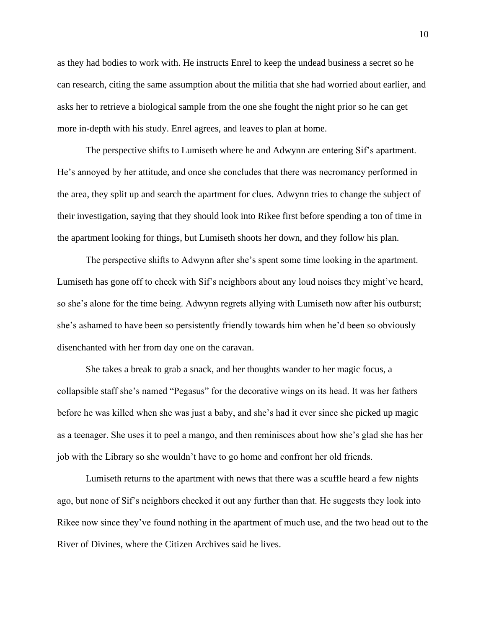as they had bodies to work with. He instructs Enrel to keep the undead business a secret so he can research, citing the same assumption about the militia that she had worried about earlier, and asks her to retrieve a biological sample from the one she fought the night prior so he can get more in-depth with his study. Enrel agrees, and leaves to plan at home.

The perspective shifts to Lumiseth where he and Adwynn are entering Sif's apartment. He's annoyed by her attitude, and once she concludes that there was necromancy performed in the area, they split up and search the apartment for clues. Adwynn tries to change the subject of their investigation, saying that they should look into Rikee first before spending a ton of time in the apartment looking for things, but Lumiseth shoots her down, and they follow his plan.

The perspective shifts to Adwynn after she's spent some time looking in the apartment. Lumiseth has gone off to check with Sif's neighbors about any loud noises they might've heard, so she's alone for the time being. Adwynn regrets allying with Lumiseth now after his outburst; she's ashamed to have been so persistently friendly towards him when he'd been so obviously disenchanted with her from day one on the caravan.

She takes a break to grab a snack, and her thoughts wander to her magic focus, a collapsible staff she's named "Pegasus" for the decorative wings on its head. It was her fathers before he was killed when she was just a baby, and she's had it ever since she picked up magic as a teenager. She uses it to peel a mango, and then reminisces about how she's glad she has her job with the Library so she wouldn't have to go home and confront her old friends.

Lumiseth returns to the apartment with news that there was a scuffle heard a few nights ago, but none of Sif's neighbors checked it out any further than that. He suggests they look into Rikee now since they've found nothing in the apartment of much use, and the two head out to the River of Divines, where the Citizen Archives said he lives.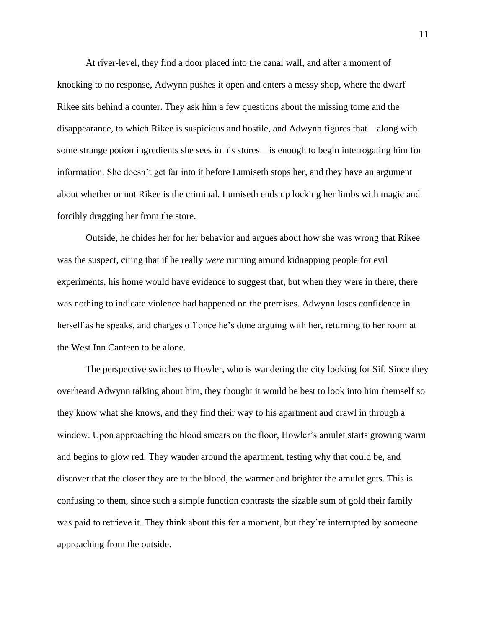At river-level, they find a door placed into the canal wall, and after a moment of knocking to no response, Adwynn pushes it open and enters a messy shop, where the dwarf Rikee sits behind a counter. They ask him a few questions about the missing tome and the disappearance, to which Rikee is suspicious and hostile, and Adwynn figures that—along with some strange potion ingredients she sees in his stores—is enough to begin interrogating him for information. She doesn't get far into it before Lumiseth stops her, and they have an argument about whether or not Rikee is the criminal. Lumiseth ends up locking her limbs with magic and forcibly dragging her from the store.

Outside, he chides her for her behavior and argues about how she was wrong that Rikee was the suspect, citing that if he really *were* running around kidnapping people for evil experiments, his home would have evidence to suggest that, but when they were in there, there was nothing to indicate violence had happened on the premises. Adwynn loses confidence in herself as he speaks, and charges off once he's done arguing with her, returning to her room at the West Inn Canteen to be alone.

The perspective switches to Howler, who is wandering the city looking for Sif. Since they overheard Adwynn talking about him, they thought it would be best to look into him themself so they know what she knows, and they find their way to his apartment and crawl in through a window. Upon approaching the blood smears on the floor, Howler's amulet starts growing warm and begins to glow red. They wander around the apartment, testing why that could be, and discover that the closer they are to the blood, the warmer and brighter the amulet gets. This is confusing to them, since such a simple function contrasts the sizable sum of gold their family was paid to retrieve it. They think about this for a moment, but they're interrupted by someone approaching from the outside.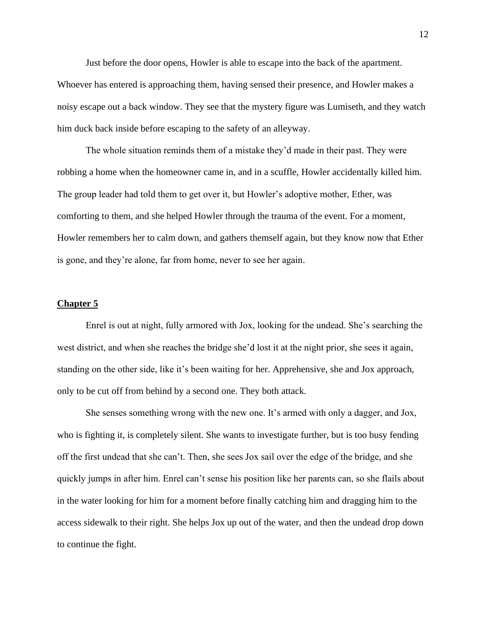Just before the door opens, Howler is able to escape into the back of the apartment. Whoever has entered is approaching them, having sensed their presence, and Howler makes a noisy escape out a back window. They see that the mystery figure was Lumiseth, and they watch him duck back inside before escaping to the safety of an alleyway.

The whole situation reminds them of a mistake they'd made in their past. They were robbing a home when the homeowner came in, and in a scuffle, Howler accidentally killed him. The group leader had told them to get over it, but Howler's adoptive mother, Ether, was comforting to them, and she helped Howler through the trauma of the event. For a moment, Howler remembers her to calm down, and gathers themself again, but they know now that Ether is gone, and they're alone, far from home, never to see her again.

## **Chapter 5**

Enrel is out at night, fully armored with Jox, looking for the undead. She's searching the west district, and when she reaches the bridge she'd lost it at the night prior, she sees it again, standing on the other side, like it's been waiting for her. Apprehensive, she and Jox approach, only to be cut off from behind by a second one. They both attack.

She senses something wrong with the new one. It's armed with only a dagger, and Jox, who is fighting it, is completely silent. She wants to investigate further, but is too busy fending off the first undead that she can't. Then, she sees Jox sail over the edge of the bridge, and she quickly jumps in after him. Enrel can't sense his position like her parents can, so she flails about in the water looking for him for a moment before finally catching him and dragging him to the access sidewalk to their right. She helps Jox up out of the water, and then the undead drop down to continue the fight.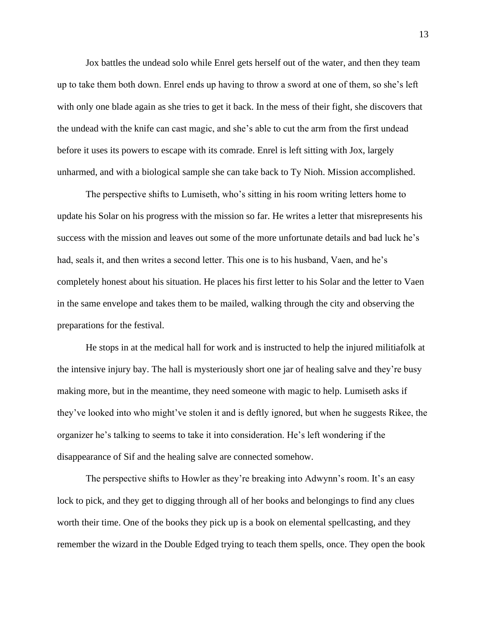Jox battles the undead solo while Enrel gets herself out of the water, and then they team up to take them both down. Enrel ends up having to throw a sword at one of them, so she's left with only one blade again as she tries to get it back. In the mess of their fight, she discovers that the undead with the knife can cast magic, and she's able to cut the arm from the first undead before it uses its powers to escape with its comrade. Enrel is left sitting with Jox, largely unharmed, and with a biological sample she can take back to Ty Nioh. Mission accomplished.

The perspective shifts to Lumiseth, who's sitting in his room writing letters home to update his Solar on his progress with the mission so far. He writes a letter that misrepresents his success with the mission and leaves out some of the more unfortunate details and bad luck he's had, seals it, and then writes a second letter. This one is to his husband, Vaen, and he's completely honest about his situation. He places his first letter to his Solar and the letter to Vaen in the same envelope and takes them to be mailed, walking through the city and observing the preparations for the festival.

He stops in at the medical hall for work and is instructed to help the injured militiafolk at the intensive injury bay. The hall is mysteriously short one jar of healing salve and they're busy making more, but in the meantime, they need someone with magic to help. Lumiseth asks if they've looked into who might've stolen it and is deftly ignored, but when he suggests Rikee, the organizer he's talking to seems to take it into consideration. He's left wondering if the disappearance of Sif and the healing salve are connected somehow.

The perspective shifts to Howler as they're breaking into Adwynn's room. It's an easy lock to pick, and they get to digging through all of her books and belongings to find any clues worth their time. One of the books they pick up is a book on elemental spellcasting, and they remember the wizard in the Double Edged trying to teach them spells, once. They open the book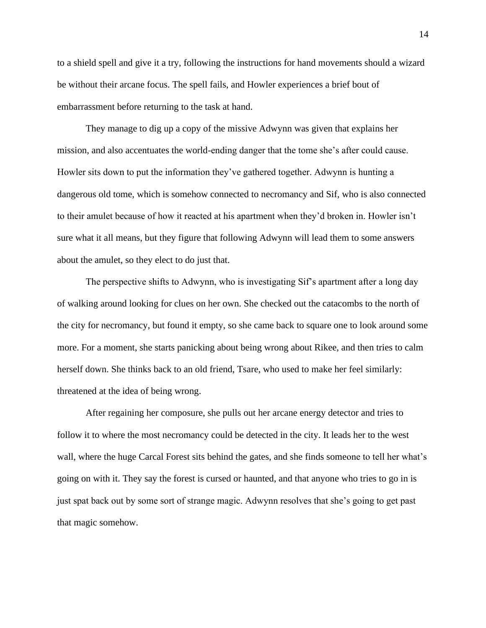to a shield spell and give it a try, following the instructions for hand movements should a wizard be without their arcane focus. The spell fails, and Howler experiences a brief bout of embarrassment before returning to the task at hand.

They manage to dig up a copy of the missive Adwynn was given that explains her mission, and also accentuates the world-ending danger that the tome she's after could cause. Howler sits down to put the information they've gathered together. Adwynn is hunting a dangerous old tome, which is somehow connected to necromancy and Sif, who is also connected to their amulet because of how it reacted at his apartment when they'd broken in. Howler isn't sure what it all means, but they figure that following Adwynn will lead them to some answers about the amulet, so they elect to do just that.

The perspective shifts to Adwynn, who is investigating Sif's apartment after a long day of walking around looking for clues on her own. She checked out the catacombs to the north of the city for necromancy, but found it empty, so she came back to square one to look around some more. For a moment, she starts panicking about being wrong about Rikee, and then tries to calm herself down. She thinks back to an old friend, Tsare, who used to make her feel similarly: threatened at the idea of being wrong.

After regaining her composure, she pulls out her arcane energy detector and tries to follow it to where the most necromancy could be detected in the city. It leads her to the west wall, where the huge Carcal Forest sits behind the gates, and she finds someone to tell her what's going on with it. They say the forest is cursed or haunted, and that anyone who tries to go in is just spat back out by some sort of strange magic. Adwynn resolves that she's going to get past that magic somehow.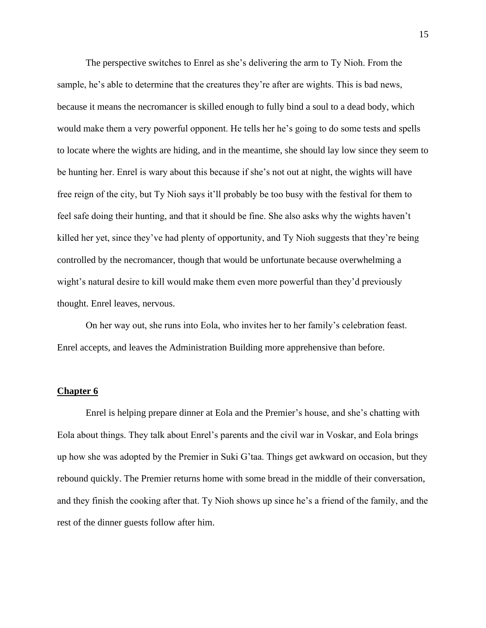The perspective switches to Enrel as she's delivering the arm to Ty Nioh. From the sample, he's able to determine that the creatures they're after are wights. This is bad news, because it means the necromancer is skilled enough to fully bind a soul to a dead body, which would make them a very powerful opponent. He tells her he's going to do some tests and spells to locate where the wights are hiding, and in the meantime, she should lay low since they seem to be hunting her. Enrel is wary about this because if she's not out at night, the wights will have free reign of the city, but Ty Nioh says it'll probably be too busy with the festival for them to feel safe doing their hunting, and that it should be fine. She also asks why the wights haven't killed her yet, since they've had plenty of opportunity, and Ty Nioh suggests that they're being controlled by the necromancer, though that would be unfortunate because overwhelming a wight's natural desire to kill would make them even more powerful than they'd previously thought. Enrel leaves, nervous.

On her way out, she runs into Eola, who invites her to her family's celebration feast. Enrel accepts, and leaves the Administration Building more apprehensive than before.

#### **Chapter 6**

Enrel is helping prepare dinner at Eola and the Premier's house, and she's chatting with Eola about things. They talk about Enrel's parents and the civil war in Voskar, and Eola brings up how she was adopted by the Premier in Suki G'taa. Things get awkward on occasion, but they rebound quickly. The Premier returns home with some bread in the middle of their conversation, and they finish the cooking after that. Ty Nioh shows up since he's a friend of the family, and the rest of the dinner guests follow after him.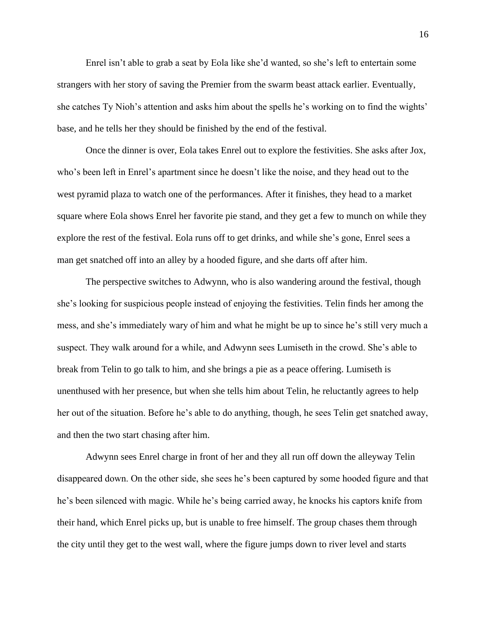Enrel isn't able to grab a seat by Eola like she'd wanted, so she's left to entertain some strangers with her story of saving the Premier from the swarm beast attack earlier. Eventually, she catches Ty Nioh's attention and asks him about the spells he's working on to find the wights' base, and he tells her they should be finished by the end of the festival.

Once the dinner is over, Eola takes Enrel out to explore the festivities. She asks after Jox, who's been left in Enrel's apartment since he doesn't like the noise, and they head out to the west pyramid plaza to watch one of the performances. After it finishes, they head to a market square where Eola shows Enrel her favorite pie stand, and they get a few to munch on while they explore the rest of the festival. Eola runs off to get drinks, and while she's gone, Enrel sees a man get snatched off into an alley by a hooded figure, and she darts off after him.

The perspective switches to Adwynn, who is also wandering around the festival, though she's looking for suspicious people instead of enjoying the festivities. Telin finds her among the mess, and she's immediately wary of him and what he might be up to since he's still very much a suspect. They walk around for a while, and Adwynn sees Lumiseth in the crowd. She's able to break from Telin to go talk to him, and she brings a pie as a peace offering. Lumiseth is unenthused with her presence, but when she tells him about Telin, he reluctantly agrees to help her out of the situation. Before he's able to do anything, though, he sees Telin get snatched away, and then the two start chasing after him.

Adwynn sees Enrel charge in front of her and they all run off down the alleyway Telin disappeared down. On the other side, she sees he's been captured by some hooded figure and that he's been silenced with magic. While he's being carried away, he knocks his captors knife from their hand, which Enrel picks up, but is unable to free himself. The group chases them through the city until they get to the west wall, where the figure jumps down to river level and starts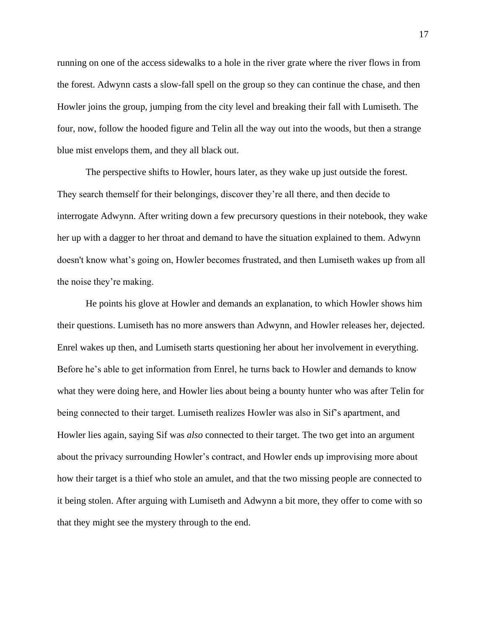running on one of the access sidewalks to a hole in the river grate where the river flows in from the forest. Adwynn casts a slow-fall spell on the group so they can continue the chase, and then Howler joins the group, jumping from the city level and breaking their fall with Lumiseth. The four, now, follow the hooded figure and Telin all the way out into the woods, but then a strange blue mist envelops them, and they all black out.

The perspective shifts to Howler, hours later, as they wake up just outside the forest. They search themself for their belongings, discover they're all there, and then decide to interrogate Adwynn. After writing down a few precursory questions in their notebook, they wake her up with a dagger to her throat and demand to have the situation explained to them. Adwynn doesn't know what's going on, Howler becomes frustrated, and then Lumiseth wakes up from all the noise they're making.

He points his glove at Howler and demands an explanation, to which Howler shows him their questions. Lumiseth has no more answers than Adwynn, and Howler releases her, dejected. Enrel wakes up then, and Lumiseth starts questioning her about her involvement in everything. Before he's able to get information from Enrel, he turns back to Howler and demands to know what they were doing here, and Howler lies about being a bounty hunter who was after Telin for being connected to their target. Lumiseth realizes Howler was also in Sif's apartment, and Howler lies again, saying Sif was *also* connected to their target. The two get into an argument about the privacy surrounding Howler's contract, and Howler ends up improvising more about how their target is a thief who stole an amulet, and that the two missing people are connected to it being stolen. After arguing with Lumiseth and Adwynn a bit more, they offer to come with so that they might see the mystery through to the end.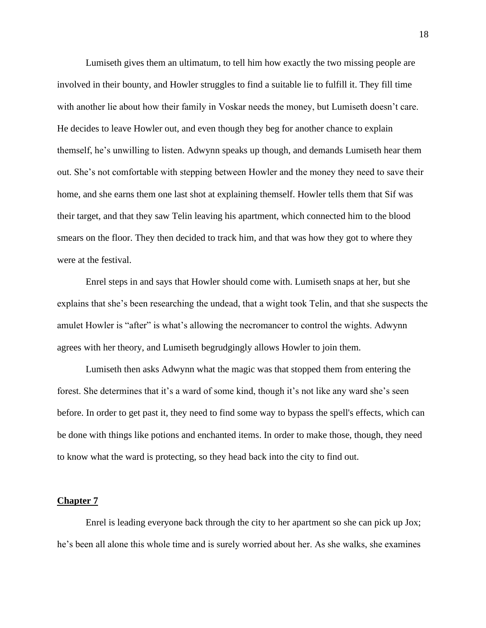Lumiseth gives them an ultimatum, to tell him how exactly the two missing people are involved in their bounty, and Howler struggles to find a suitable lie to fulfill it. They fill time with another lie about how their family in Voskar needs the money, but Lumiseth doesn't care. He decides to leave Howler out, and even though they beg for another chance to explain themself, he's unwilling to listen. Adwynn speaks up though, and demands Lumiseth hear them out. She's not comfortable with stepping between Howler and the money they need to save their home, and she earns them one last shot at explaining themself. Howler tells them that Sif was their target, and that they saw Telin leaving his apartment, which connected him to the blood smears on the floor. They then decided to track him, and that was how they got to where they were at the festival.

Enrel steps in and says that Howler should come with. Lumiseth snaps at her, but she explains that she's been researching the undead, that a wight took Telin, and that she suspects the amulet Howler is "after" is what's allowing the necromancer to control the wights. Adwynn agrees with her theory, and Lumiseth begrudgingly allows Howler to join them.

Lumiseth then asks Adwynn what the magic was that stopped them from entering the forest. She determines that it's a ward of some kind, though it's not like any ward she's seen before. In order to get past it, they need to find some way to bypass the spell's effects, which can be done with things like potions and enchanted items. In order to make those, though, they need to know what the ward is protecting, so they head back into the city to find out.

#### **Chapter 7**

Enrel is leading everyone back through the city to her apartment so she can pick up Jox; he's been all alone this whole time and is surely worried about her. As she walks, she examines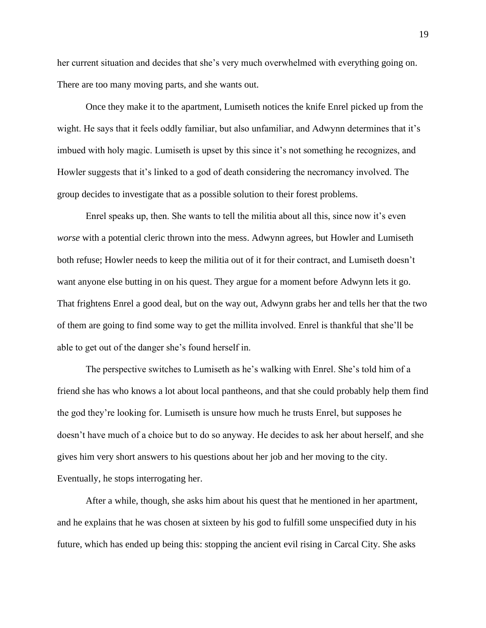her current situation and decides that she's very much overwhelmed with everything going on. There are too many moving parts, and she wants out.

Once they make it to the apartment, Lumiseth notices the knife Enrel picked up from the wight. He says that it feels oddly familiar, but also unfamiliar, and Adwynn determines that it's imbued with holy magic. Lumiseth is upset by this since it's not something he recognizes, and Howler suggests that it's linked to a god of death considering the necromancy involved. The group decides to investigate that as a possible solution to their forest problems.

Enrel speaks up, then. She wants to tell the militia about all this, since now it's even *worse* with a potential cleric thrown into the mess. Adwynn agrees, but Howler and Lumiseth both refuse; Howler needs to keep the militia out of it for their contract, and Lumiseth doesn't want anyone else butting in on his quest. They argue for a moment before Adwynn lets it go. That frightens Enrel a good deal, but on the way out, Adwynn grabs her and tells her that the two of them are going to find some way to get the millita involved. Enrel is thankful that she'll be able to get out of the danger she's found herself in.

The perspective switches to Lumiseth as he's walking with Enrel. She's told him of a friend she has who knows a lot about local pantheons, and that she could probably help them find the god they're looking for. Lumiseth is unsure how much he trusts Enrel, but supposes he doesn't have much of a choice but to do so anyway. He decides to ask her about herself, and she gives him very short answers to his questions about her job and her moving to the city. Eventually, he stops interrogating her.

After a while, though, she asks him about his quest that he mentioned in her apartment, and he explains that he was chosen at sixteen by his god to fulfill some unspecified duty in his future, which has ended up being this: stopping the ancient evil rising in Carcal City. She asks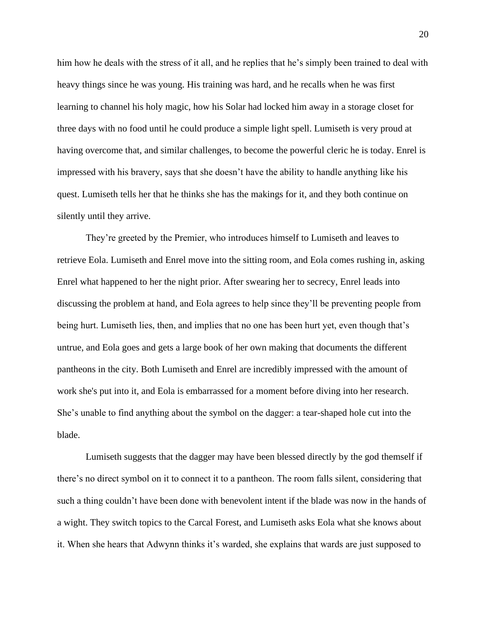him how he deals with the stress of it all, and he replies that he's simply been trained to deal with heavy things since he was young. His training was hard, and he recalls when he was first learning to channel his holy magic, how his Solar had locked him away in a storage closet for three days with no food until he could produce a simple light spell. Lumiseth is very proud at having overcome that, and similar challenges, to become the powerful cleric he is today. Enrel is impressed with his bravery, says that she doesn't have the ability to handle anything like his quest. Lumiseth tells her that he thinks she has the makings for it, and they both continue on silently until they arrive.

They're greeted by the Premier, who introduces himself to Lumiseth and leaves to retrieve Eola. Lumiseth and Enrel move into the sitting room, and Eola comes rushing in, asking Enrel what happened to her the night prior. After swearing her to secrecy, Enrel leads into discussing the problem at hand, and Eola agrees to help since they'll be preventing people from being hurt. Lumiseth lies, then, and implies that no one has been hurt yet, even though that's untrue, and Eola goes and gets a large book of her own making that documents the different pantheons in the city. Both Lumiseth and Enrel are incredibly impressed with the amount of work she's put into it, and Eola is embarrassed for a moment before diving into her research. She's unable to find anything about the symbol on the dagger: a tear-shaped hole cut into the blade.

Lumiseth suggests that the dagger may have been blessed directly by the god themself if there's no direct symbol on it to connect it to a pantheon. The room falls silent, considering that such a thing couldn't have been done with benevolent intent if the blade was now in the hands of a wight. They switch topics to the Carcal Forest, and Lumiseth asks Eola what she knows about it. When she hears that Adwynn thinks it's warded, she explains that wards are just supposed to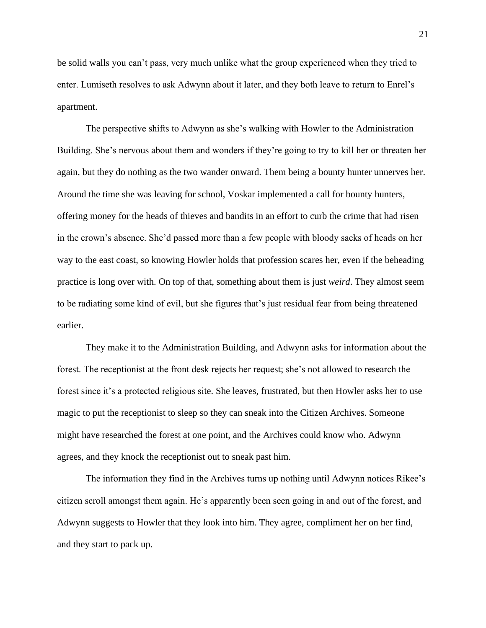be solid walls you can't pass, very much unlike what the group experienced when they tried to enter. Lumiseth resolves to ask Adwynn about it later, and they both leave to return to Enrel's apartment.

The perspective shifts to Adwynn as she's walking with Howler to the Administration Building. She's nervous about them and wonders if they're going to try to kill her or threaten her again, but they do nothing as the two wander onward. Them being a bounty hunter unnerves her. Around the time she was leaving for school, Voskar implemented a call for bounty hunters, offering money for the heads of thieves and bandits in an effort to curb the crime that had risen in the crown's absence. She'd passed more than a few people with bloody sacks of heads on her way to the east coast, so knowing Howler holds that profession scares her, even if the beheading practice is long over with. On top of that, something about them is just *weird*. They almost seem to be radiating some kind of evil, but she figures that's just residual fear from being threatened earlier.

They make it to the Administration Building, and Adwynn asks for information about the forest. The receptionist at the front desk rejects her request; she's not allowed to research the forest since it's a protected religious site. She leaves, frustrated, but then Howler asks her to use magic to put the receptionist to sleep so they can sneak into the Citizen Archives. Someone might have researched the forest at one point, and the Archives could know who. Adwynn agrees, and they knock the receptionist out to sneak past him.

The information they find in the Archives turns up nothing until Adwynn notices Rikee's citizen scroll amongst them again. He's apparently been seen going in and out of the forest, and Adwynn suggests to Howler that they look into him. They agree, compliment her on her find, and they start to pack up.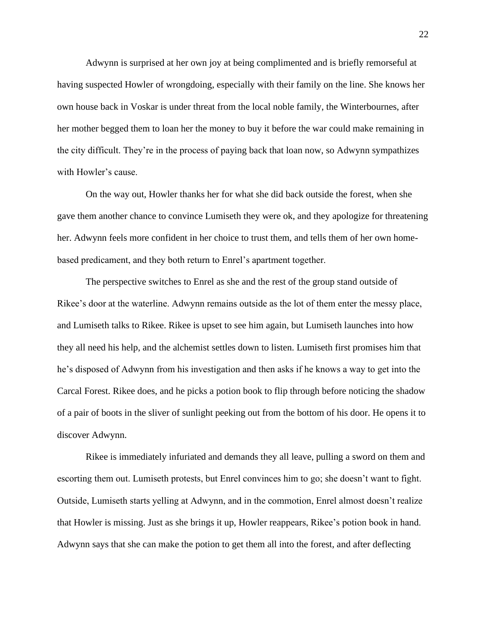Adwynn is surprised at her own joy at being complimented and is briefly remorseful at having suspected Howler of wrongdoing, especially with their family on the line. She knows her own house back in Voskar is under threat from the local noble family, the Winterbournes, after her mother begged them to loan her the money to buy it before the war could make remaining in the city difficult. They're in the process of paying back that loan now, so Adwynn sympathizes with Howler's cause.

On the way out, Howler thanks her for what she did back outside the forest, when she gave them another chance to convince Lumiseth they were ok, and they apologize for threatening her. Adwynn feels more confident in her choice to trust them, and tells them of her own homebased predicament, and they both return to Enrel's apartment together.

The perspective switches to Enrel as she and the rest of the group stand outside of Rikee's door at the waterline. Adwynn remains outside as the lot of them enter the messy place, and Lumiseth talks to Rikee. Rikee is upset to see him again, but Lumiseth launches into how they all need his help, and the alchemist settles down to listen. Lumiseth first promises him that he's disposed of Adwynn from his investigation and then asks if he knows a way to get into the Carcal Forest. Rikee does, and he picks a potion book to flip through before noticing the shadow of a pair of boots in the sliver of sunlight peeking out from the bottom of his door. He opens it to discover Adwynn.

Rikee is immediately infuriated and demands they all leave, pulling a sword on them and escorting them out. Lumiseth protests, but Enrel convinces him to go; she doesn't want to fight. Outside, Lumiseth starts yelling at Adwynn, and in the commotion, Enrel almost doesn't realize that Howler is missing. Just as she brings it up, Howler reappears, Rikee's potion book in hand. Adwynn says that she can make the potion to get them all into the forest, and after deflecting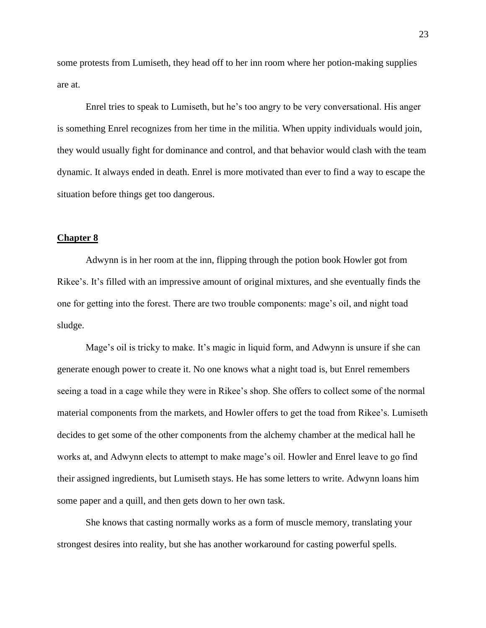some protests from Lumiseth, they head off to her inn room where her potion-making supplies are at.

Enrel tries to speak to Lumiseth, but he's too angry to be very conversational. His anger is something Enrel recognizes from her time in the militia. When uppity individuals would join, they would usually fight for dominance and control, and that behavior would clash with the team dynamic. It always ended in death. Enrel is more motivated than ever to find a way to escape the situation before things get too dangerous.

#### **Chapter 8**

Adwynn is in her room at the inn, flipping through the potion book Howler got from Rikee's. It's filled with an impressive amount of original mixtures, and she eventually finds the one for getting into the forest. There are two trouble components: mage's oil, and night toad sludge.

Mage's oil is tricky to make. It's magic in liquid form, and Adwynn is unsure if she can generate enough power to create it. No one knows what a night toad is, but Enrel remembers seeing a toad in a cage while they were in Rikee's shop. She offers to collect some of the normal material components from the markets, and Howler offers to get the toad from Rikee's. Lumiseth decides to get some of the other components from the alchemy chamber at the medical hall he works at, and Adwynn elects to attempt to make mage's oil. Howler and Enrel leave to go find their assigned ingredients, but Lumiseth stays. He has some letters to write. Adwynn loans him some paper and a quill, and then gets down to her own task.

She knows that casting normally works as a form of muscle memory, translating your strongest desires into reality, but she has another workaround for casting powerful spells.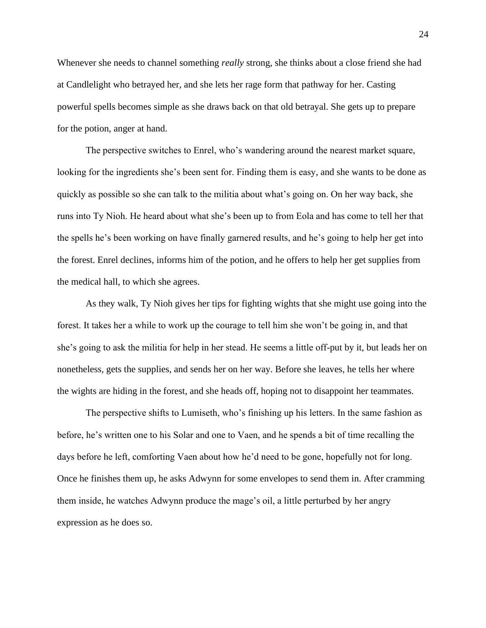Whenever she needs to channel something *really* strong, she thinks about a close friend she had at Candlelight who betrayed her, and she lets her rage form that pathway for her. Casting powerful spells becomes simple as she draws back on that old betrayal. She gets up to prepare for the potion, anger at hand.

The perspective switches to Enrel, who's wandering around the nearest market square, looking for the ingredients she's been sent for. Finding them is easy, and she wants to be done as quickly as possible so she can talk to the militia about what's going on. On her way back, she runs into Ty Nioh. He heard about what she's been up to from Eola and has come to tell her that the spells he's been working on have finally garnered results, and he's going to help her get into the forest. Enrel declines, informs him of the potion, and he offers to help her get supplies from the medical hall, to which she agrees.

As they walk, Ty Nioh gives her tips for fighting wights that she might use going into the forest. It takes her a while to work up the courage to tell him she won't be going in, and that she's going to ask the militia for help in her stead. He seems a little off-put by it, but leads her on nonetheless, gets the supplies, and sends her on her way. Before she leaves, he tells her where the wights are hiding in the forest, and she heads off, hoping not to disappoint her teammates.

The perspective shifts to Lumiseth, who's finishing up his letters. In the same fashion as before, he's written one to his Solar and one to Vaen, and he spends a bit of time recalling the days before he left, comforting Vaen about how he'd need to be gone, hopefully not for long. Once he finishes them up, he asks Adwynn for some envelopes to send them in. After cramming them inside, he watches Adwynn produce the mage's oil, a little perturbed by her angry expression as he does so.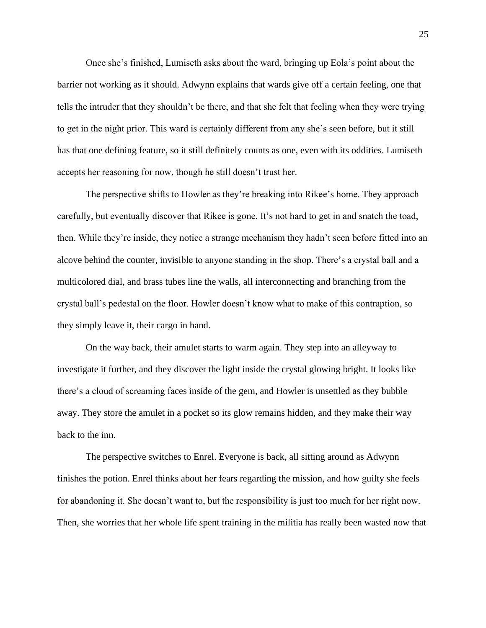Once she's finished, Lumiseth asks about the ward, bringing up Eola's point about the barrier not working as it should. Adwynn explains that wards give off a certain feeling, one that tells the intruder that they shouldn't be there, and that she felt that feeling when they were trying to get in the night prior. This ward is certainly different from any she's seen before, but it still has that one defining feature, so it still definitely counts as one, even with its oddities. Lumiseth accepts her reasoning for now, though he still doesn't trust her.

The perspective shifts to Howler as they're breaking into Rikee's home. They approach carefully, but eventually discover that Rikee is gone. It's not hard to get in and snatch the toad, then. While they're inside, they notice a strange mechanism they hadn't seen before fitted into an alcove behind the counter, invisible to anyone standing in the shop. There's a crystal ball and a multicolored dial, and brass tubes line the walls, all interconnecting and branching from the crystal ball's pedestal on the floor. Howler doesn't know what to make of this contraption, so they simply leave it, their cargo in hand.

On the way back, their amulet starts to warm again. They step into an alleyway to investigate it further, and they discover the light inside the crystal glowing bright. It looks like there's a cloud of screaming faces inside of the gem, and Howler is unsettled as they bubble away. They store the amulet in a pocket so its glow remains hidden, and they make their way back to the inn.

The perspective switches to Enrel. Everyone is back, all sitting around as Adwynn finishes the potion. Enrel thinks about her fears regarding the mission, and how guilty she feels for abandoning it. She doesn't want to, but the responsibility is just too much for her right now. Then, she worries that her whole life spent training in the militia has really been wasted now that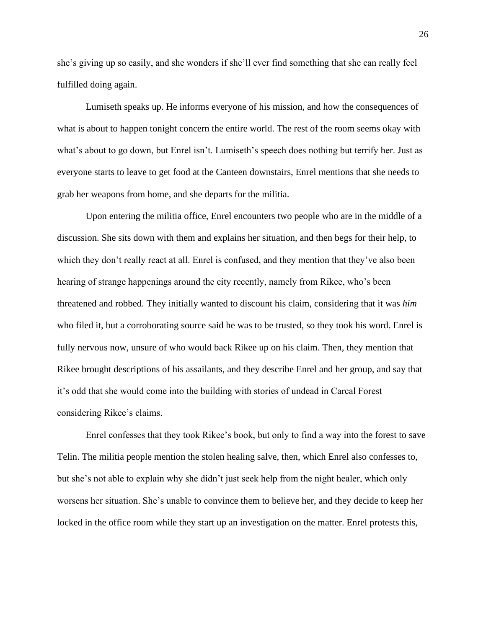she's giving up so easily, and she wonders if she'll ever find something that she can really feel fulfilled doing again.

Lumiseth speaks up. He informs everyone of his mission, and how the consequences of what is about to happen tonight concern the entire world. The rest of the room seems okay with what's about to go down, but Enrel isn't. Lumiseth's speech does nothing but terrify her. Just as everyone starts to leave to get food at the Canteen downstairs, Enrel mentions that she needs to grab her weapons from home, and she departs for the militia.

Upon entering the militia office, Enrel encounters two people who are in the middle of a discussion. She sits down with them and explains her situation, and then begs for their help, to which they don't really react at all. Enrel is confused, and they mention that they've also been hearing of strange happenings around the city recently, namely from Rikee, who's been threatened and robbed. They initially wanted to discount his claim, considering that it was *him* who filed it, but a corroborating source said he was to be trusted, so they took his word. Enrel is fully nervous now, unsure of who would back Rikee up on his claim. Then, they mention that Rikee brought descriptions of his assailants, and they describe Enrel and her group, and say that it's odd that she would come into the building with stories of undead in Carcal Forest considering Rikee's claims.

Enrel confesses that they took Rikee's book, but only to find a way into the forest to save Telin. The militia people mention the stolen healing salve, then, which Enrel also confesses to, but she's not able to explain why she didn't just seek help from the night healer, which only worsens her situation. She's unable to convince them to believe her, and they decide to keep her locked in the office room while they start up an investigation on the matter. Enrel protests this,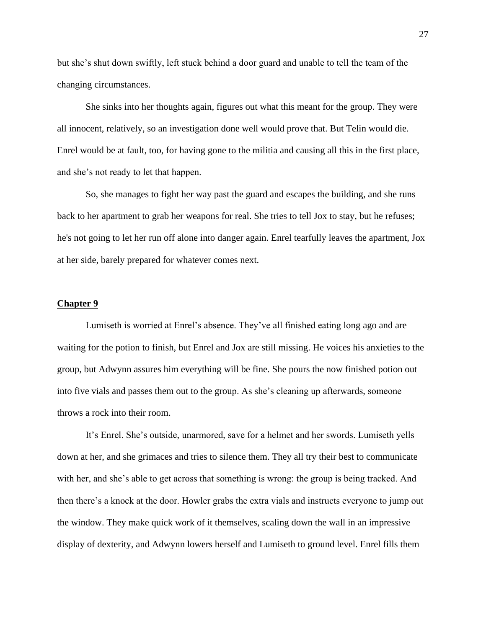but she's shut down swiftly, left stuck behind a door guard and unable to tell the team of the changing circumstances.

She sinks into her thoughts again, figures out what this meant for the group. They were all innocent, relatively, so an investigation done well would prove that. But Telin would die. Enrel would be at fault, too, for having gone to the militia and causing all this in the first place, and she's not ready to let that happen.

So, she manages to fight her way past the guard and escapes the building, and she runs back to her apartment to grab her weapons for real. She tries to tell Jox to stay, but he refuses; he's not going to let her run off alone into danger again. Enrel tearfully leaves the apartment, Jox at her side, barely prepared for whatever comes next.

## **Chapter 9**

Lumiseth is worried at Enrel's absence. They've all finished eating long ago and are waiting for the potion to finish, but Enrel and Jox are still missing. He voices his anxieties to the group, but Adwynn assures him everything will be fine. She pours the now finished potion out into five vials and passes them out to the group. As she's cleaning up afterwards, someone throws a rock into their room.

It's Enrel. She's outside, unarmored, save for a helmet and her swords. Lumiseth yells down at her, and she grimaces and tries to silence them. They all try their best to communicate with her, and she's able to get across that something is wrong: the group is being tracked. And then there's a knock at the door. Howler grabs the extra vials and instructs everyone to jump out the window. They make quick work of it themselves, scaling down the wall in an impressive display of dexterity, and Adwynn lowers herself and Lumiseth to ground level. Enrel fills them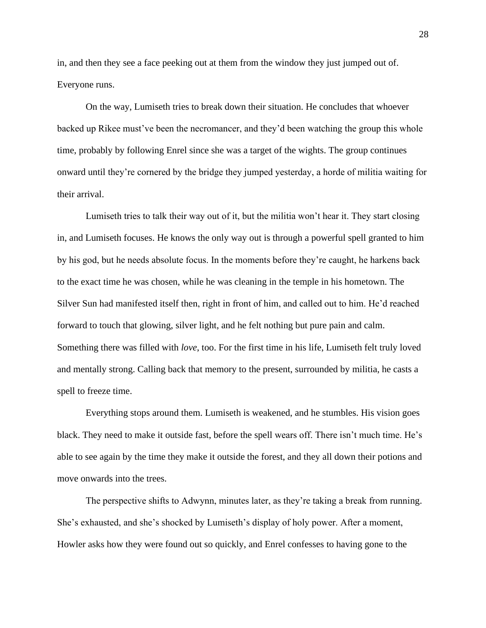in, and then they see a face peeking out at them from the window they just jumped out of. Everyone runs.

On the way, Lumiseth tries to break down their situation. He concludes that whoever backed up Rikee must've been the necromancer, and they'd been watching the group this whole time, probably by following Enrel since she was a target of the wights. The group continues onward until they're cornered by the bridge they jumped yesterday, a horde of militia waiting for their arrival.

Lumiseth tries to talk their way out of it, but the militia won't hear it. They start closing in, and Lumiseth focuses. He knows the only way out is through a powerful spell granted to him by his god, but he needs absolute focus. In the moments before they're caught, he harkens back to the exact time he was chosen, while he was cleaning in the temple in his hometown. The Silver Sun had manifested itself then, right in front of him, and called out to him. He'd reached forward to touch that glowing, silver light, and he felt nothing but pure pain and calm. Something there was filled with *love*, too. For the first time in his life, Lumiseth felt truly loved and mentally strong. Calling back that memory to the present, surrounded by militia, he casts a spell to freeze time.

Everything stops around them. Lumiseth is weakened, and he stumbles. His vision goes black. They need to make it outside fast, before the spell wears off. There isn't much time. He's able to see again by the time they make it outside the forest, and they all down their potions and move onwards into the trees.

The perspective shifts to Adwynn, minutes later, as they're taking a break from running. She's exhausted, and she's shocked by Lumiseth's display of holy power. After a moment, Howler asks how they were found out so quickly, and Enrel confesses to having gone to the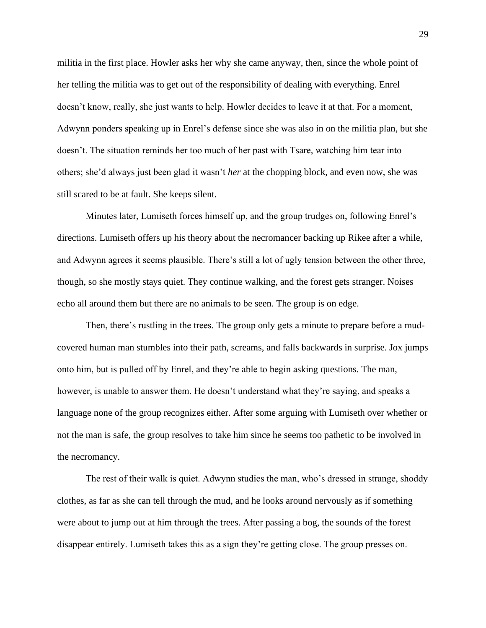militia in the first place. Howler asks her why she came anyway, then, since the whole point of her telling the militia was to get out of the responsibility of dealing with everything. Enrel doesn't know, really, she just wants to help. Howler decides to leave it at that. For a moment, Adwynn ponders speaking up in Enrel's defense since she was also in on the militia plan, but she doesn't. The situation reminds her too much of her past with Tsare, watching him tear into others; she'd always just been glad it wasn't *her* at the chopping block, and even now, she was still scared to be at fault. She keeps silent.

Minutes later, Lumiseth forces himself up, and the group trudges on, following Enrel's directions. Lumiseth offers up his theory about the necromancer backing up Rikee after a while, and Adwynn agrees it seems plausible. There's still a lot of ugly tension between the other three, though, so she mostly stays quiet. They continue walking, and the forest gets stranger. Noises echo all around them but there are no animals to be seen. The group is on edge.

Then, there's rustling in the trees. The group only gets a minute to prepare before a mudcovered human man stumbles into their path, screams, and falls backwards in surprise. Jox jumps onto him, but is pulled off by Enrel, and they're able to begin asking questions. The man, however, is unable to answer them. He doesn't understand what they're saying, and speaks a language none of the group recognizes either. After some arguing with Lumiseth over whether or not the man is safe, the group resolves to take him since he seems too pathetic to be involved in the necromancy.

The rest of their walk is quiet. Adwynn studies the man, who's dressed in strange, shoddy clothes, as far as she can tell through the mud, and he looks around nervously as if something were about to jump out at him through the trees. After passing a bog, the sounds of the forest disappear entirely. Lumiseth takes this as a sign they're getting close. The group presses on.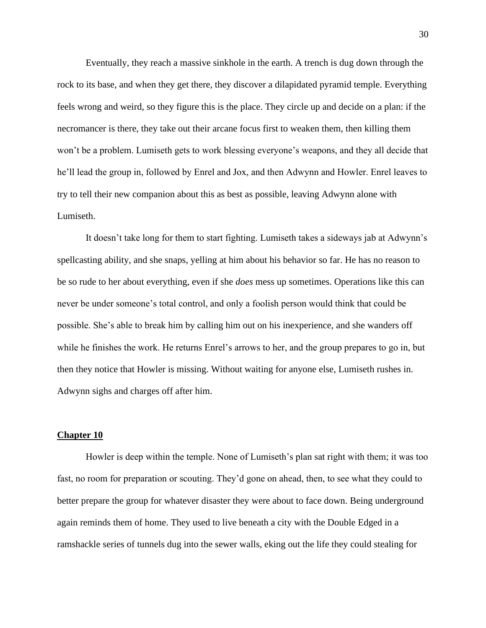Eventually, they reach a massive sinkhole in the earth. A trench is dug down through the rock to its base, and when they get there, they discover a dilapidated pyramid temple. Everything feels wrong and weird, so they figure this is the place. They circle up and decide on a plan: if the necromancer is there, they take out their arcane focus first to weaken them, then killing them won't be a problem. Lumiseth gets to work blessing everyone's weapons, and they all decide that he'll lead the group in, followed by Enrel and Jox, and then Adwynn and Howler. Enrel leaves to try to tell their new companion about this as best as possible, leaving Adwynn alone with Lumiseth.

It doesn't take long for them to start fighting. Lumiseth takes a sideways jab at Adwynn's spellcasting ability, and she snaps, yelling at him about his behavior so far. He has no reason to be so rude to her about everything, even if she *does* mess up sometimes. Operations like this can never be under someone's total control, and only a foolish person would think that could be possible. She's able to break him by calling him out on his inexperience, and she wanders off while he finishes the work. He returns Enrel's arrows to her, and the group prepares to go in, but then they notice that Howler is missing. Without waiting for anyone else, Lumiseth rushes in. Adwynn sighs and charges off after him.

## **Chapter 10**

Howler is deep within the temple. None of Lumiseth's plan sat right with them; it was too fast, no room for preparation or scouting. They'd gone on ahead, then, to see what they could to better prepare the group for whatever disaster they were about to face down. Being underground again reminds them of home. They used to live beneath a city with the Double Edged in a ramshackle series of tunnels dug into the sewer walls, eking out the life they could stealing for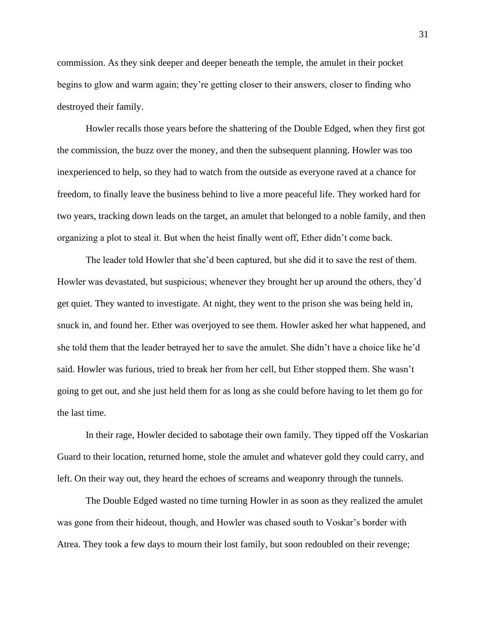commission. As they sink deeper and deeper beneath the temple, the amulet in their pocket begins to glow and warm again; they're getting closer to their answers, closer to finding who destroyed their family.

Howler recalls those years before the shattering of the Double Edged, when they first got the commission, the buzz over the money, and then the subsequent planning. Howler was too inexperienced to help, so they had to watch from the outside as everyone raved at a chance for freedom, to finally leave the business behind to live a more peaceful life. They worked hard for two years, tracking down leads on the target, an amulet that belonged to a noble family, and then organizing a plot to steal it. But when the heist finally went off, Ether didn't come back.

The leader told Howler that she'd been captured, but she did it to save the rest of them. Howler was devastated, but suspicious; whenever they brought her up around the others, they'd get quiet. They wanted to investigate. At night, they went to the prison she was being held in, snuck in, and found her. Ether was overjoyed to see them. Howler asked her what happened, and she told them that the leader betrayed her to save the amulet. She didn't have a choice like he'd said. Howler was furious, tried to break her from her cell, but Ether stopped them. She wasn't going to get out, and she just held them for as long as she could before having to let them go for the last time.

In their rage, Howler decided to sabotage their own family. They tipped off the Voskarian Guard to their location, returned home, stole the amulet and whatever gold they could carry, and left. On their way out, they heard the echoes of screams and weaponry through the tunnels.

The Double Edged wasted no time turning Howler in as soon as they realized the amulet was gone from their hideout, though, and Howler was chased south to Voskar's border with Atrea. They took a few days to mourn their lost family, but soon redoubled on their revenge;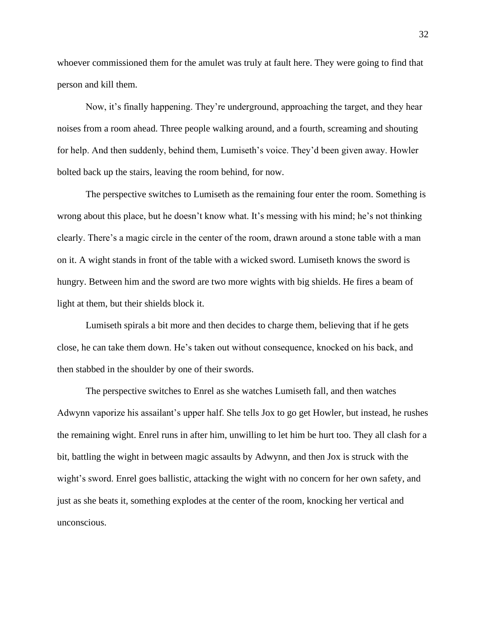whoever commissioned them for the amulet was truly at fault here. They were going to find that person and kill them.

Now, it's finally happening. They're underground, approaching the target, and they hear noises from a room ahead. Three people walking around, and a fourth, screaming and shouting for help. And then suddenly, behind them, Lumiseth's voice. They'd been given away. Howler bolted back up the stairs, leaving the room behind, for now.

The perspective switches to Lumiseth as the remaining four enter the room. Something is wrong about this place, but he doesn't know what. It's messing with his mind; he's not thinking clearly. There's a magic circle in the center of the room, drawn around a stone table with a man on it. A wight stands in front of the table with a wicked sword. Lumiseth knows the sword is hungry. Between him and the sword are two more wights with big shields. He fires a beam of light at them, but their shields block it.

Lumiseth spirals a bit more and then decides to charge them, believing that if he gets close, he can take them down. He's taken out without consequence, knocked on his back, and then stabbed in the shoulder by one of their swords.

The perspective switches to Enrel as she watches Lumiseth fall, and then watches Adwynn vaporize his assailant's upper half. She tells Jox to go get Howler, but instead, he rushes the remaining wight. Enrel runs in after him, unwilling to let him be hurt too. They all clash for a bit, battling the wight in between magic assaults by Adwynn, and then Jox is struck with the wight's sword. Enrel goes ballistic, attacking the wight with no concern for her own safety, and just as she beats it, something explodes at the center of the room, knocking her vertical and unconscious.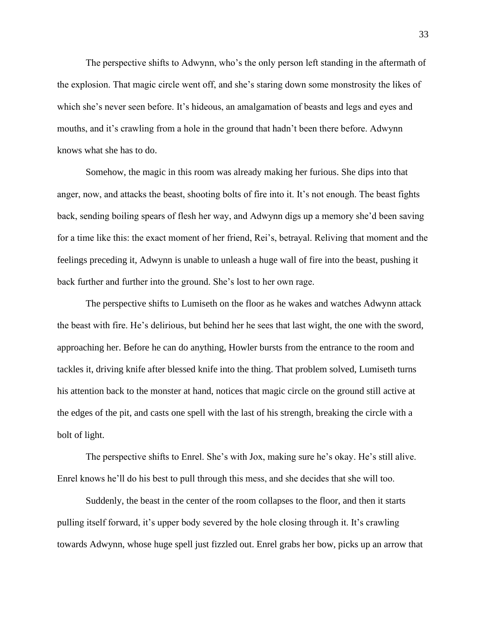The perspective shifts to Adwynn, who's the only person left standing in the aftermath of the explosion. That magic circle went off, and she's staring down some monstrosity the likes of which she's never seen before. It's hideous, an amalgamation of beasts and legs and eyes and mouths, and it's crawling from a hole in the ground that hadn't been there before. Adwynn knows what she has to do.

Somehow, the magic in this room was already making her furious. She dips into that anger, now, and attacks the beast, shooting bolts of fire into it. It's not enough. The beast fights back, sending boiling spears of flesh her way, and Adwynn digs up a memory she'd been saving for a time like this: the exact moment of her friend, Rei's, betrayal. Reliving that moment and the feelings preceding it, Adwynn is unable to unleash a huge wall of fire into the beast, pushing it back further and further into the ground. She's lost to her own rage.

The perspective shifts to Lumiseth on the floor as he wakes and watches Adwynn attack the beast with fire. He's delirious, but behind her he sees that last wight, the one with the sword, approaching her. Before he can do anything, Howler bursts from the entrance to the room and tackles it, driving knife after blessed knife into the thing. That problem solved, Lumiseth turns his attention back to the monster at hand, notices that magic circle on the ground still active at the edges of the pit, and casts one spell with the last of his strength, breaking the circle with a bolt of light.

The perspective shifts to Enrel. She's with Jox, making sure he's okay. He's still alive. Enrel knows he'll do his best to pull through this mess, and she decides that she will too.

Suddenly, the beast in the center of the room collapses to the floor, and then it starts pulling itself forward, it's upper body severed by the hole closing through it. It's crawling towards Adwynn, whose huge spell just fizzled out. Enrel grabs her bow, picks up an arrow that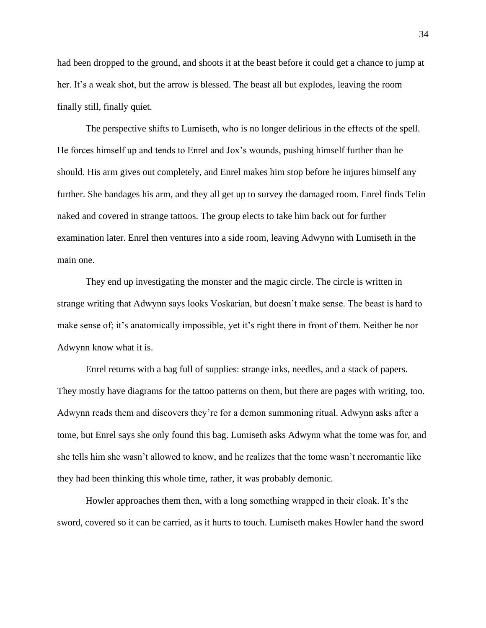had been dropped to the ground, and shoots it at the beast before it could get a chance to jump at her. It's a weak shot, but the arrow is blessed. The beast all but explodes, leaving the room finally still, finally quiet.

The perspective shifts to Lumiseth, who is no longer delirious in the effects of the spell. He forces himself up and tends to Enrel and Jox's wounds, pushing himself further than he should. His arm gives out completely, and Enrel makes him stop before he injures himself any further. She bandages his arm, and they all get up to survey the damaged room. Enrel finds Telin naked and covered in strange tattoos. The group elects to take him back out for further examination later. Enrel then ventures into a side room, leaving Adwynn with Lumiseth in the main one.

They end up investigating the monster and the magic circle. The circle is written in strange writing that Adwynn says looks Voskarian, but doesn't make sense. The beast is hard to make sense of; it's anatomically impossible, yet it's right there in front of them. Neither he nor Adwynn know what it is.

Enrel returns with a bag full of supplies: strange inks, needles, and a stack of papers. They mostly have diagrams for the tattoo patterns on them, but there are pages with writing, too. Adwynn reads them and discovers they're for a demon summoning ritual. Adwynn asks after a tome, but Enrel says she only found this bag. Lumiseth asks Adwynn what the tome was for, and she tells him she wasn't allowed to know, and he realizes that the tome wasn't necromantic like they had been thinking this whole time, rather, it was probably demonic.

Howler approaches them then, with a long something wrapped in their cloak. It's the sword, covered so it can be carried, as it hurts to touch. Lumiseth makes Howler hand the sword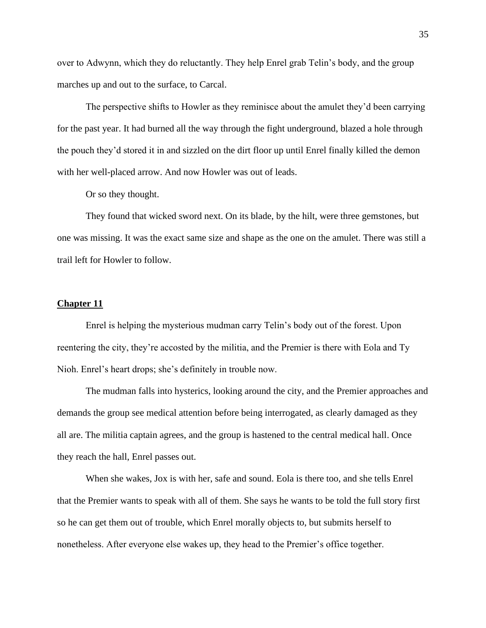over to Adwynn, which they do reluctantly. They help Enrel grab Telin's body, and the group marches up and out to the surface, to Carcal.

The perspective shifts to Howler as they reminisce about the amulet they'd been carrying for the past year. It had burned all the way through the fight underground, blazed a hole through the pouch they'd stored it in and sizzled on the dirt floor up until Enrel finally killed the demon with her well-placed arrow. And now Howler was out of leads.

Or so they thought.

They found that wicked sword next. On its blade, by the hilt, were three gemstones, but one was missing. It was the exact same size and shape as the one on the amulet. There was still a trail left for Howler to follow.

## **Chapter 11**

Enrel is helping the mysterious mudman carry Telin's body out of the forest. Upon reentering the city, they're accosted by the militia, and the Premier is there with Eola and Ty Nioh. Enrel's heart drops; she's definitely in trouble now.

The mudman falls into hysterics, looking around the city, and the Premier approaches and demands the group see medical attention before being interrogated, as clearly damaged as they all are. The militia captain agrees, and the group is hastened to the central medical hall. Once they reach the hall, Enrel passes out.

When she wakes, Jox is with her, safe and sound. Eola is there too, and she tells Enrel that the Premier wants to speak with all of them. She says he wants to be told the full story first so he can get them out of trouble, which Enrel morally objects to, but submits herself to nonetheless. After everyone else wakes up, they head to the Premier's office together.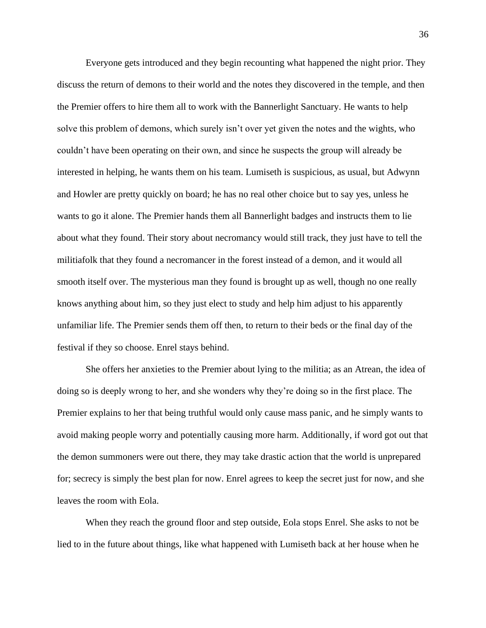Everyone gets introduced and they begin recounting what happened the night prior. They discuss the return of demons to their world and the notes they discovered in the temple, and then the Premier offers to hire them all to work with the Bannerlight Sanctuary. He wants to help solve this problem of demons, which surely isn't over yet given the notes and the wights, who couldn't have been operating on their own, and since he suspects the group will already be interested in helping, he wants them on his team. Lumiseth is suspicious, as usual, but Adwynn and Howler are pretty quickly on board; he has no real other choice but to say yes, unless he wants to go it alone. The Premier hands them all Bannerlight badges and instructs them to lie about what they found. Their story about necromancy would still track, they just have to tell the militiafolk that they found a necromancer in the forest instead of a demon, and it would all smooth itself over. The mysterious man they found is brought up as well, though no one really knows anything about him, so they just elect to study and help him adjust to his apparently unfamiliar life. The Premier sends them off then, to return to their beds or the final day of the festival if they so choose. Enrel stays behind.

She offers her anxieties to the Premier about lying to the militia; as an Atrean, the idea of doing so is deeply wrong to her, and she wonders why they're doing so in the first place. The Premier explains to her that being truthful would only cause mass panic, and he simply wants to avoid making people worry and potentially causing more harm. Additionally, if word got out that the demon summoners were out there, they may take drastic action that the world is unprepared for; secrecy is simply the best plan for now. Enrel agrees to keep the secret just for now, and she leaves the room with Eola.

When they reach the ground floor and step outside, Eola stops Enrel. She asks to not be lied to in the future about things, like what happened with Lumiseth back at her house when he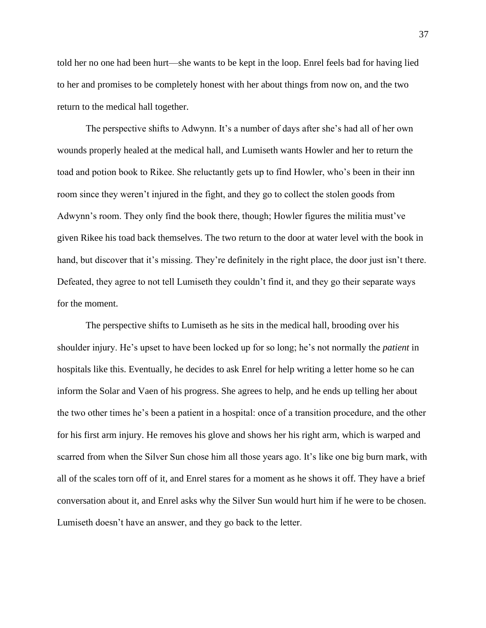told her no one had been hurt—she wants to be kept in the loop. Enrel feels bad for having lied to her and promises to be completely honest with her about things from now on, and the two return to the medical hall together.

The perspective shifts to Adwynn. It's a number of days after she's had all of her own wounds properly healed at the medical hall, and Lumiseth wants Howler and her to return the toad and potion book to Rikee. She reluctantly gets up to find Howler, who's been in their inn room since they weren't injured in the fight, and they go to collect the stolen goods from Adwynn's room. They only find the book there, though; Howler figures the militia must've given Rikee his toad back themselves. The two return to the door at water level with the book in hand, but discover that it's missing. They're definitely in the right place, the door just isn't there. Defeated, they agree to not tell Lumiseth they couldn't find it, and they go their separate ways for the moment.

The perspective shifts to Lumiseth as he sits in the medical hall, brooding over his shoulder injury. He's upset to have been locked up for so long; he's not normally the *patient* in hospitals like this. Eventually, he decides to ask Enrel for help writing a letter home so he can inform the Solar and Vaen of his progress. She agrees to help, and he ends up telling her about the two other times he's been a patient in a hospital: once of a transition procedure, and the other for his first arm injury. He removes his glove and shows her his right arm, which is warped and scarred from when the Silver Sun chose him all those years ago. It's like one big burn mark, with all of the scales torn off of it, and Enrel stares for a moment as he shows it off. They have a brief conversation about it, and Enrel asks why the Silver Sun would hurt him if he were to be chosen. Lumiseth doesn't have an answer, and they go back to the letter.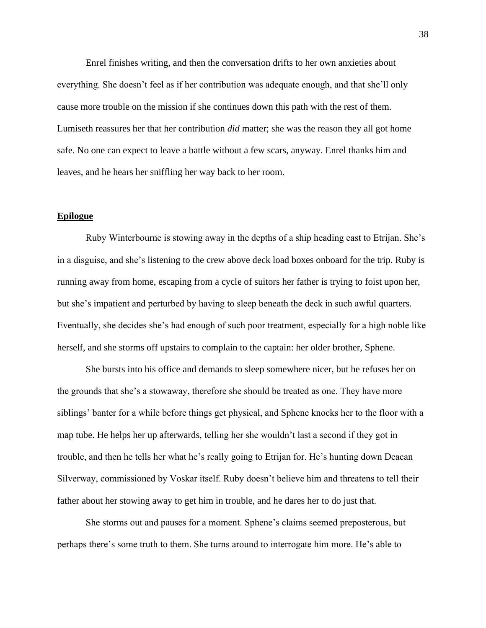Enrel finishes writing, and then the conversation drifts to her own anxieties about everything. She doesn't feel as if her contribution was adequate enough, and that she'll only cause more trouble on the mission if she continues down this path with the rest of them. Lumiseth reassures her that her contribution *did* matter; she was the reason they all got home safe. No one can expect to leave a battle without a few scars, anyway. Enrel thanks him and leaves, and he hears her sniffling her way back to her room.

## **Epilogue**

Ruby Winterbourne is stowing away in the depths of a ship heading east to Etrijan. She's in a disguise, and she's listening to the crew above deck load boxes onboard for the trip. Ruby is running away from home, escaping from a cycle of suitors her father is trying to foist upon her, but she's impatient and perturbed by having to sleep beneath the deck in such awful quarters. Eventually, she decides she's had enough of such poor treatment, especially for a high noble like herself, and she storms off upstairs to complain to the captain: her older brother, Sphene.

She bursts into his office and demands to sleep somewhere nicer, but he refuses her on the grounds that she's a stowaway, therefore she should be treated as one. They have more siblings' banter for a while before things get physical, and Sphene knocks her to the floor with a map tube. He helps her up afterwards, telling her she wouldn't last a second if they got in trouble, and then he tells her what he's really going to Etrijan for. He's hunting down Deacan Silverway, commissioned by Voskar itself. Ruby doesn't believe him and threatens to tell their father about her stowing away to get him in trouble, and he dares her to do just that.

She storms out and pauses for a moment. Sphene's claims seemed preposterous, but perhaps there's some truth to them. She turns around to interrogate him more. He's able to